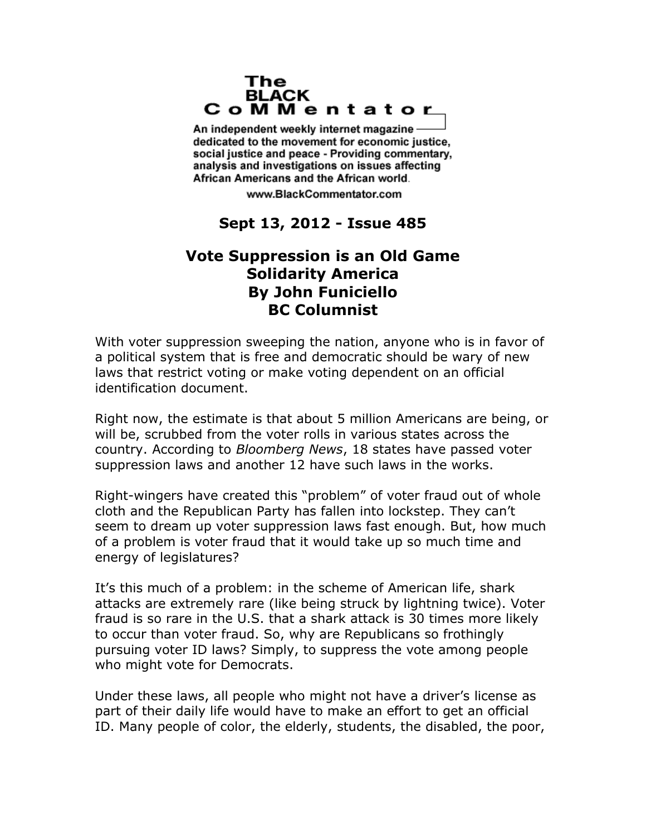## The **BLACK** CoMMentator

An independent weekly internet magazine dedicated to the movement for economic justice. social justice and peace - Providing commentary, analysis and investigations on issues affecting African Americans and the African world.

www.BlackCommentator.com

## **Sept 13, 2012 - Issue 485**

## **Vote Suppression is an Old Game Solidarity America By John Funiciello BC Columnist**

With voter suppression sweeping the nation, anyone who is in favor of a political system that is free and democratic should be wary of new laws that restrict voting or make voting dependent on an official identification document.

Right now, the estimate is that about 5 million Americans are being, or will be, scrubbed from the voter rolls in various states across the country. According to *Bloomberg News*, 18 states have passed voter suppression laws and another 12 have such laws in the works.

Right-wingers have created this "problem" of voter fraud out of whole cloth and the Republican Party has fallen into lockstep. They can't seem to dream up voter suppression laws fast enough. But, how much of a problem is voter fraud that it would take up so much time and energy of legislatures?

It's this much of a problem: in the scheme of American life, shark attacks are extremely rare (like being struck by lightning twice). Voter fraud is so rare in the U.S. that a shark attack is 30 times more likely to occur than voter fraud. So, why are Republicans so frothingly pursuing voter ID laws? Simply, to suppress the vote among people who might vote for Democrats.

Under these laws, all people who might not have a driver's license as part of their daily life would have to make an effort to get an official ID. Many people of color, the elderly, students, the disabled, the poor,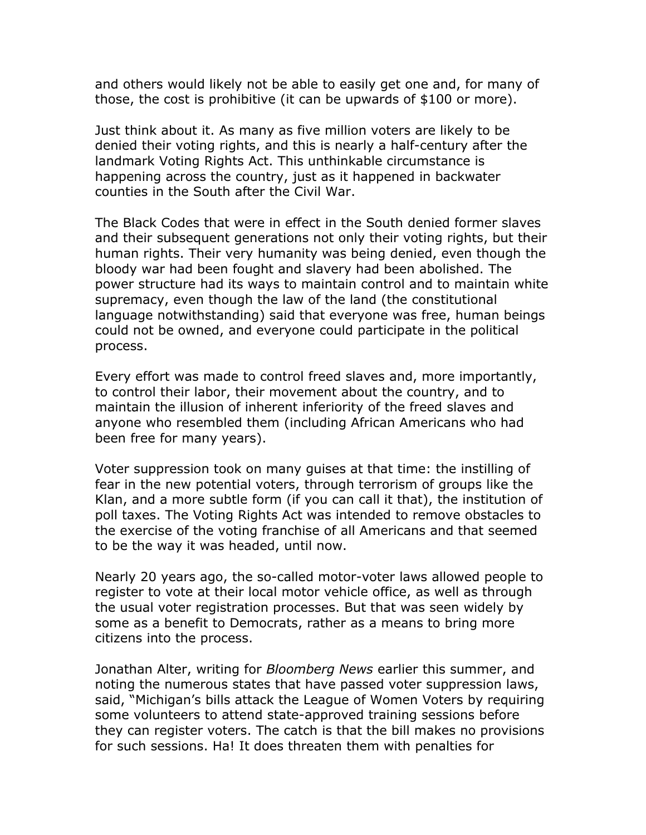and others would likely not be able to easily get one and, for many of those, the cost is prohibitive (it can be upwards of \$100 or more).

Just think about it. As many as five million voters are likely to be denied their voting rights, and this is nearly a half-century after the landmark Voting Rights Act. This unthinkable circumstance is happening across the country, just as it happened in backwater counties in the South after the Civil War.

The Black Codes that were in effect in the South denied former slaves and their subsequent generations not only their voting rights, but their human rights. Their very humanity was being denied, even though the bloody war had been fought and slavery had been abolished. The power structure had its ways to maintain control and to maintain white supremacy, even though the law of the land (the constitutional language notwithstanding) said that everyone was free, human beings could not be owned, and everyone could participate in the political process.

Every effort was made to control freed slaves and, more importantly, to control their labor, their movement about the country, and to maintain the illusion of inherent inferiority of the freed slaves and anyone who resembled them (including African Americans who had been free for many years).

Voter suppression took on many guises at that time: the instilling of fear in the new potential voters, through terrorism of groups like the Klan, and a more subtle form (if you can call it that), the institution of poll taxes. The Voting Rights Act was intended to remove obstacles to the exercise of the voting franchise of all Americans and that seemed to be the way it was headed, until now.

Nearly 20 years ago, the so-called motor-voter laws allowed people to register to vote at their local motor vehicle office, as well as through the usual voter registration processes. But that was seen widely by some as a benefit to Democrats, rather as a means to bring more citizens into the process.

Jonathan Alter, writing for *Bloomberg News* earlier this summer, and noting the numerous states that have passed voter suppression laws, said, "Michigan's bills attack the League of Women Voters by requiring some volunteers to attend state-approved training sessions before they can register voters. The catch is that the bill makes no provisions for such sessions. Ha! It does threaten them with penalties for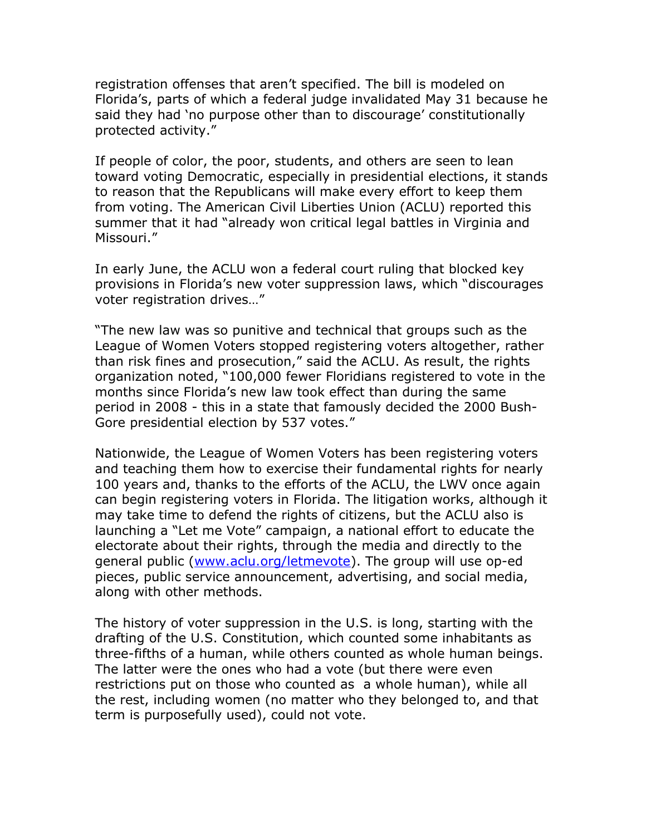registration offenses that aren't specified. The bill is modeled on Florida's, parts of which a federal judge invalidated May 31 because he said they had 'no purpose other than to discourage' constitutionally protected activity."

If people of color, the poor, students, and others are seen to lean toward voting Democratic, especially in presidential elections, it stands to reason that the Republicans will make every effort to keep them from voting. The American Civil Liberties Union (ACLU) reported this summer that it had "already won critical legal battles in Virginia and Missouri."

In early June, the ACLU won a federal court ruling that blocked key provisions in Florida's new voter suppression laws, which "discourages voter registration drives…"

"The new law was so punitive and technical that groups such as the League of Women Voters stopped registering voters altogether, rather than risk fines and prosecution," said the ACLU. As result, the rights organization noted, "100,000 fewer Floridians registered to vote in the months since Florida's new law took effect than during the same period in 2008 - this in a state that famously decided the 2000 Bush-Gore presidential election by 537 votes."

Nationwide, the League of Women Voters has been registering voters and teaching them how to exercise their fundamental rights for nearly 100 years and, thanks to the efforts of the ACLU, the LWV once again can begin registering voters in Florida. The litigation works, although it may take time to defend the rights of citizens, but the ACLU also is launching a "Let me Vote" campaign, a national effort to educate the electorate about their rights, through the media and directly to the general public [\(www.aclu.org/letmevote\)](http://www.aclu.org/letmevote). The group will use op-ed pieces, public service announcement, advertising, and social media, along with other methods.

The history of voter suppression in the U.S. is long, starting with the drafting of the U.S. Constitution, which counted some inhabitants as three-fifths of a human, while others counted as whole human beings. The latter were the ones who had a vote (but there were even restrictions put on those who counted as a whole human), while all the rest, including women (no matter who they belonged to, and that term is purposefully used), could not vote.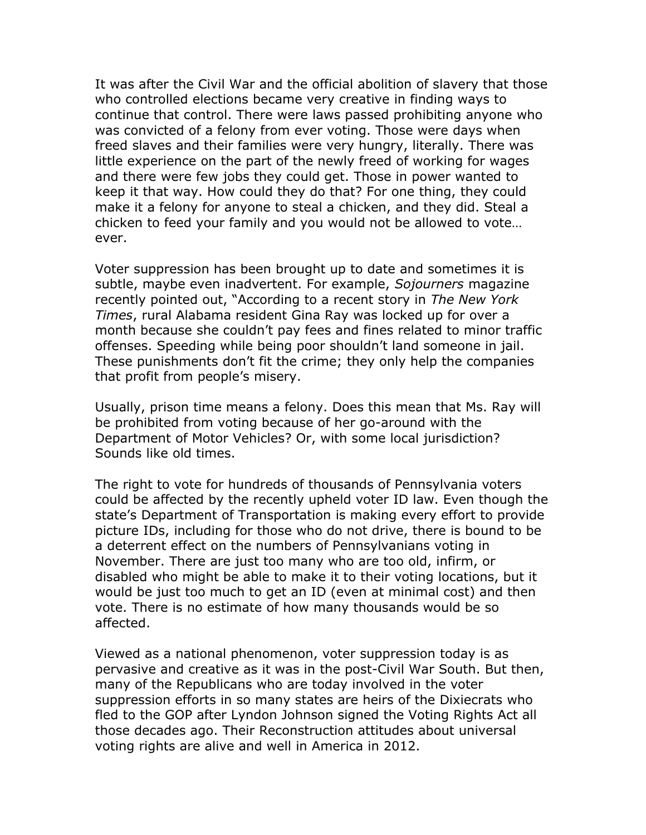It was after the Civil War and the official abolition of slavery that those who controlled elections became very creative in finding ways to continue that control. There were laws passed prohibiting anyone who was convicted of a felony from ever voting. Those were days when freed slaves and their families were very hungry, literally. There was little experience on the part of the newly freed of working for wages and there were few jobs they could get. Those in power wanted to keep it that way. How could they do that? For one thing, they could make it a felony for anyone to steal a chicken, and they did. Steal a chicken to feed your family and you would not be allowed to vote… ever.

Voter suppression has been brought up to date and sometimes it is subtle, maybe even inadvertent. For example, *Sojourners* magazine recently pointed out, "According to a recent story in *The New York Times*, rural Alabama resident Gina Ray was locked up for over a month because she couldn't pay fees and fines related to minor traffic offenses. Speeding while being poor shouldn't land someone in jail. These punishments don't fit the crime; they only help the companies that profit from people's misery.

Usually, prison time means a felony. Does this mean that Ms. Ray will be prohibited from voting because of her go-around with the Department of Motor Vehicles? Or, with some local jurisdiction? Sounds like old times.

The right to vote for hundreds of thousands of Pennsylvania voters could be affected by the recently upheld voter ID law. Even though the state's Department of Transportation is making every effort to provide picture IDs, including for those who do not drive, there is bound to be a deterrent effect on the numbers of Pennsylvanians voting in November. There are just too many who are too old, infirm, or disabled who might be able to make it to their voting locations, but it would be just too much to get an ID (even at minimal cost) and then vote. There is no estimate of how many thousands would be so affected.

Viewed as a national phenomenon, voter suppression today is as pervasive and creative as it was in the post-Civil War South. But then, many of the Republicans who are today involved in the voter suppression efforts in so many states are heirs of the Dixiecrats who fled to the GOP after Lyndon Johnson signed the Voting Rights Act all those decades ago. Their Reconstruction attitudes about universal voting rights are alive and well in America in 2012.